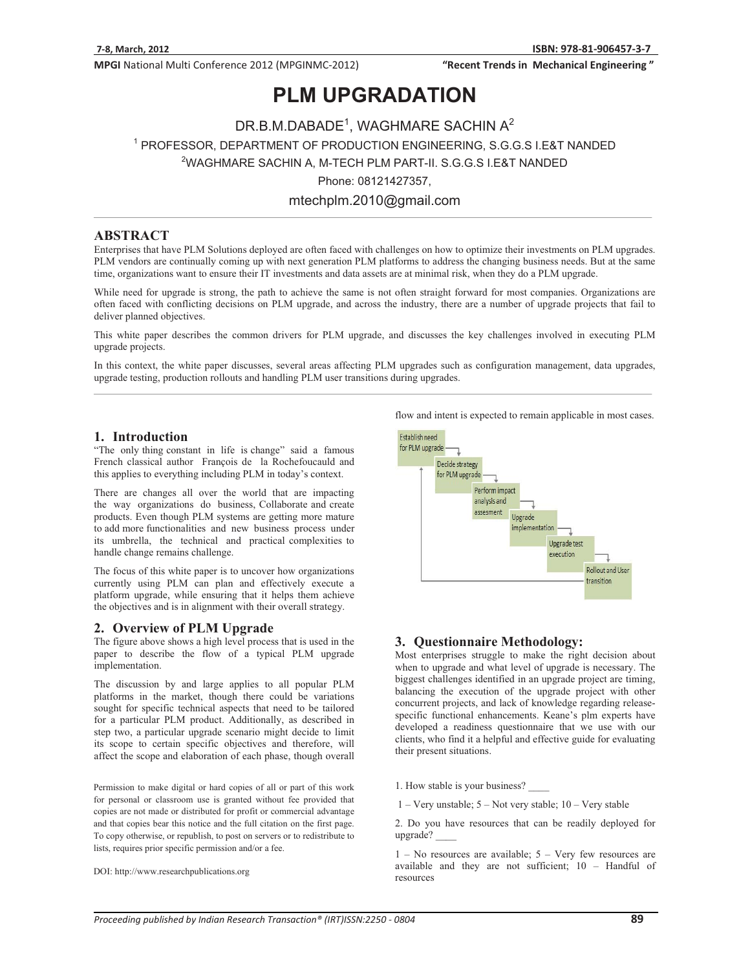"Recent Trends in Mechanical Engineering"

## **PLM UPGRADATION**

− DR.B.M.DABADE⊺, WAGHMARE SACHIN A<br>19 PROFESSOR, DEPARTMENT OF PRODUCTION ENGINEERING, S.G. PROFESSOR, DEPARTMENT OF PRODUCTION ENGINEERING, SCORE MEDICINE IN A PRODUCTION ENGINEERING.<br><sup>2</sup>WAGHMARE SACHIN A, M-TECH PLM PART-II. S.G.G.S I.E&T NANDED Phone: 08121427357,<br>mtechplm.2010@gmail.com

mtechplm.2010@gmail.com

## **ABSTRACT**

Enterprises that have PLM Solutions deployed are often faced with challenges on how to optimize their investments on PLM upgrades. PLM vendors are continually coming up with next generation PLM platforms to address the changing business needs. But at the same time, organizations want to ensure their IT investments and data assets are at minimal risk, when they do a PLM upgrade.

While need for upgrade is strong, the path to achieve the same is not often straight forward for most companies. Organizations are often faced with conflicting decisions on PLM upgrade, and across the industry, there are a number of upgrade projects that fail to deliver planned objectives.

This white paper describes the common drivers for PLM upgrade, and discusses the key challenges involved in executing PLM upgrade projects.

In this context, the white paper discusses, several areas affecting PLM upgrades such as configuration management, data upgrades, upgrade testing, production rollouts and handling PLM user transitions during upgrades.

## **1. Introduction**

"The only thing constant in life is change" said a famous French classical author François de la Rochefoucauld and this applies to everything including PLM in today's context.

There are changes all over the world that are impacting the way organizations do business, Collaborate and create products. Even though PLM systems are getting more mature to add more functionalities and new business process under its umbrella, the technical and practical complexities to handle change remains challenge.

The focus of this white paper is to uncover how organizations currently using PLM can plan and effectively execute a platform upgrade, while ensuring that it helps them achieve the objectives and is in alignment with their overall strategy.

### **2. Overview of PLM Upgrade**

The figure above shows a high level process that is used in the paper to describe the flow of a typical PLM upgrade implementation.

The discussion by and large applies to all popular PLM platforms in the market, though there could be variations sought for specific technical aspects that need to be tailored for a particular PLM product. Additionally, as described in step two, a particular upgrade scenario might decide to limit its scope to certain specific objectives and therefore, will affect the scope and elaboration of each phase, though overall

Permission to make digital or hard copies of all or part of this work for personal or classroom use is granted without fee provided that copies are not made or distributed for profit or commercial advantage and that copies bear this notice and the full citation on the first page. To copy otherwise, or republish, to post on servers or to redistribute to lists, requires prior specific permission and/or a fee.

DOI: http://www.researchpublications.org

flow and intent is expected to remain applicable in most cases.



### **3. Questionnaire Methodology:**

Most enterprises struggle to make the right decision about when to upgrade and what level of upgrade is necessary. The biggest challenges identified in an upgrade project are timing, balancing the execution of the upgrade project with other concurrent projects, and lack of knowledge regarding releasespecific functional enhancements. Keane's plm experts have developed a readiness questionnaire that we use with our clients, who find it a helpful and effective guide for evaluating their present situations.

1. How stable is your business?

1 – Very unstable; 5 – Not very stable; 10 – Very stable

2. Do you have resources that can be readily deployed for upgrade? \_\_\_\_

1 – No resources are available; 5 – Very few resources are available and they are not sufficient; 10 – Handful of resources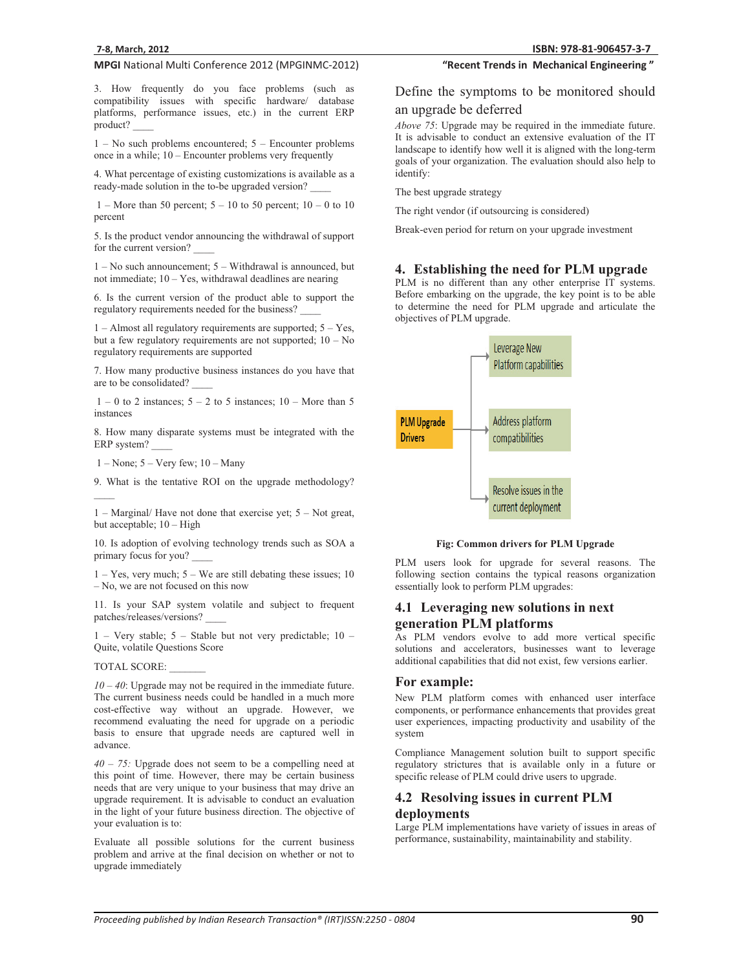3. How frequently do you face problems (such as compatibility issues with specific hardware/ database platforms, performance issues, etc.) in the current ERP product? \_\_\_\_

1 – No such problems encountered; 5 – Encounter problems once in a while; 10 – Encounter problems very frequently

4. What percentage of existing customizations is available as a ready-made solution in the to-be upgraded version? \_\_\_\_

1 – More than 50 percent;  $5 - 10$  to 50 percent;  $10 - 0$  to 10 percent

5. Is the product vendor announcing the withdrawal of support for the current version?

1 – No such announcement; 5 – Withdrawal is announced, but not immediate; 10 – Yes, withdrawal deadlines are nearing

6. Is the current version of the product able to support the regulatory requirements needed for the business? \_\_\_\_

1 – Almost all regulatory requirements are supported; 5 – Yes, but a few regulatory requirements are not supported;  $10 - No$ regulatory requirements are supported

7. How many productive business instances do you have that are to be consolidated? \_\_\_\_

 $1 - 0$  to 2 instances;  $5 - 2$  to 5 instances;  $10 -$ More than 5 instances

8. How many disparate systems must be integrated with the ERP system?

 $1 - None$ ;  $5 - Very few$ ;  $10 - Many$ 

9. What is the tentative ROI on the upgrade methodology?  $\overline{\phantom{a}}$ 

1 – Marginal/ Have not done that exercise yet; 5 – Not great, but acceptable; 10 – High

10. Is adoption of evolving technology trends such as SOA a primary focus for you? \_\_\_\_

 $1 - Yes$ , very much;  $5 - We$  are still debating these issues; 10 – No, we are not focused on this now

11. Is your SAP system volatile and subject to frequent patches/releases/versions? \_\_\_\_

1 – Very stable; 5 – Stable but not very predictable; 10 – Quite, volatile Questions Score

TOTAL SCORE:

*10 – 40*: Upgrade may not be required in the immediate future. The current business needs could be handled in a much more cost-effective way without an upgrade. However, we recommend evaluating the need for upgrade on a periodic basis to ensure that upgrade needs are captured well in advance.

*40 – 75:* Upgrade does not seem to be a compelling need at this point of time. However, there may be certain business needs that are very unique to your business that may drive an upgrade requirement. It is advisable to conduct an evaluation in the light of your future business direction. The objective of your evaluation is to:

Evaluate all possible solutions for the current business problem and arrive at the final decision on whether or not to upgrade immediately

## "Recent Trends in Mechanical Engineering"

## Define the symptoms to be monitored should

## an upgrade be deferred

*Above 75*: Upgrade may be required in the immediate future. It is advisable to conduct an extensive evaluation of the IT landscape to identify how well it is aligned with the long-term goals of your organization. The evaluation should also help to identify:

The best upgrade strategy

The right vendor (if outsourcing is considered)

Break-even period for return on your upgrade investment

## **4. Establishing the need for PLM upgrade**

PLM is no different than any other enterprise IT systems. Before embarking on the upgrade, the key point is to be able to determine the need for PLM upgrade and articulate the objectives of PLM upgrade.



**Fig: Common drivers for PLM Upgrade** 

PLM users look for upgrade for several reasons. The following section contains the typical reasons organization essentially look to perform PLM upgrades:

## **4.1 Leveraging new solutions in next generation PLM platforms**

As PLM vendors evolve to add more vertical specific solutions and accelerators, businesses want to leverage additional capabilities that did not exist, few versions earlier.

### **For example:**

New PLM platform comes with enhanced user interface components, or performance enhancements that provides great user experiences, impacting productivity and usability of the system

Compliance Management solution built to support specific regulatory strictures that is available only in a future or specific release of PLM could drive users to upgrade.

## **4.2 Resolving issues in current PLM deployments**

Large PLM implementations have variety of issues in areas of performance, sustainability, maintainability and stability.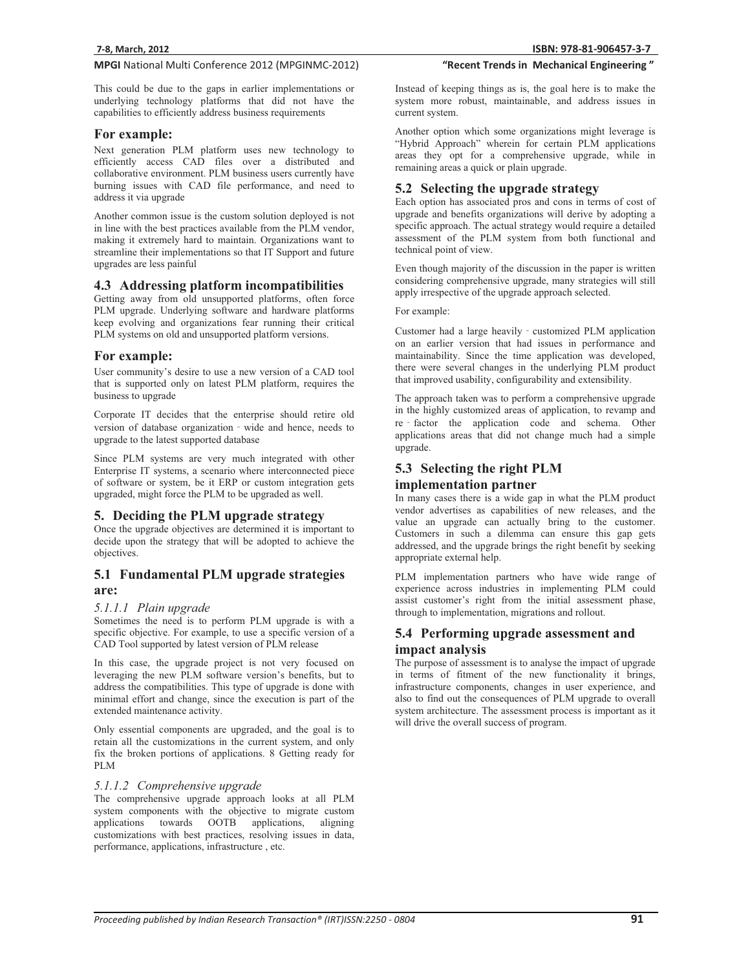This could be due to the gaps in earlier implementations or underlying technology platforms that did not have the capabilities to efficiently address business requirements

## **For example:**

Next generation PLM platform uses new technology to efficiently access CAD files over a distributed and collaborative environment. PLM business users currently have burning issues with CAD file performance, and need to address it via upgrade

Another common issue is the custom solution deployed is not in line with the best practices available from the PLM vendor, making it extremely hard to maintain. Organizations want to streamline their implementations so that IT Support and future upgrades are less painful

### **4.3 Addressing platform incompatibilities**

Getting away from old unsupported platforms, often force PLM upgrade. Underlying software and hardware platforms keep evolving and organizations fear running their critical PLM systems on old and unsupported platform versions.

## **For example:**

User community's desire to use a new version of a CAD tool that is supported only on latest PLM platform, requires the business to upgrade

Corporate IT decides that the enterprise should retire old version of database organization - wide and hence, needs to upgrade to the latest supported database

Since PLM systems are very much integrated with other Enterprise IT systems, a scenario where interconnected piece of software or system, be it ERP or custom integration gets upgraded, might force the PLM to be upgraded as well.

## **5. Deciding the PLM upgrade strategy**

Once the upgrade objectives are determined it is important to decide upon the strategy that will be adopted to achieve the objectives.

## **5.1 Fundamental PLM upgrade strategies are:**

#### *5.1.1.1 Plain upgrade*

Sometimes the need is to perform PLM upgrade is with a specific objective. For example, to use a specific version of a CAD Tool supported by latest version of PLM release

In this case, the upgrade project is not very focused on leveraging the new PLM software version's benefits, but to address the compatibilities. This type of upgrade is done with minimal effort and change, since the execution is part of the extended maintenance activity.

Only essential components are upgraded, and the goal is to retain all the customizations in the current system, and only fix the broken portions of applications. 8 Getting ready for PLM

### *5.1.1.2 Comprehensive upgrade*

The comprehensive upgrade approach looks at all PLM system components with the objective to migrate custom applications towards OOTB applications, aligning customizations with best practices, resolving issues in data, performance, applications, infrastructure , etc.

Instead of keeping things as is, the goal here is to make the system more robust, maintainable, and address issues in current system.

"Recent Trends in Mechanical Engineering"

Another option which some organizations might leverage is "Hybrid Approach" wherein for certain PLM applications areas they opt for a comprehensive upgrade, while in remaining areas a quick or plain upgrade.

## **5.2 Selecting the upgrade strategy**

Each option has associated pros and cons in terms of cost of upgrade and benefits organizations will derive by adopting a specific approach. The actual strategy would require a detailed assessment of the PLM system from both functional and technical point of view.

Even though majority of the discussion in the paper is written considering comprehensive upgrade, many strategies will still apply irrespective of the upgrade approach selected.

For example:

Customer had a large heavily - customized PLM application on an earlier version that had issues in performance and maintainability. Since the time application was developed, there were several changes in the underlying PLM product that improved usability, configurability and extensibility.

The approach taken was to perform a comprehensive upgrade in the highly customized areas of application, to revamp and re factor the application code and schema. Other applications areas that did not change much had a simple upgrade.

## **5.3 Selecting the right PLM implementation partner**

In many cases there is a wide gap in what the PLM product vendor advertises as capabilities of new releases, and the value an upgrade can actually bring to the customer. Customers in such a dilemma can ensure this gap gets addressed, and the upgrade brings the right benefit by seeking appropriate external help.

PLM implementation partners who have wide range of experience across industries in implementing PLM could assist customer's right from the initial assessment phase, through to implementation, migrations and rollout.

## **5.4 Performing upgrade assessment and impact analysis**

The purpose of assessment is to analyse the impact of upgrade in terms of fitment of the new functionality it brings, infrastructure components, changes in user experience, and also to find out the consequences of PLM upgrade to overall system architecture. The assessment process is important as it will drive the overall success of program.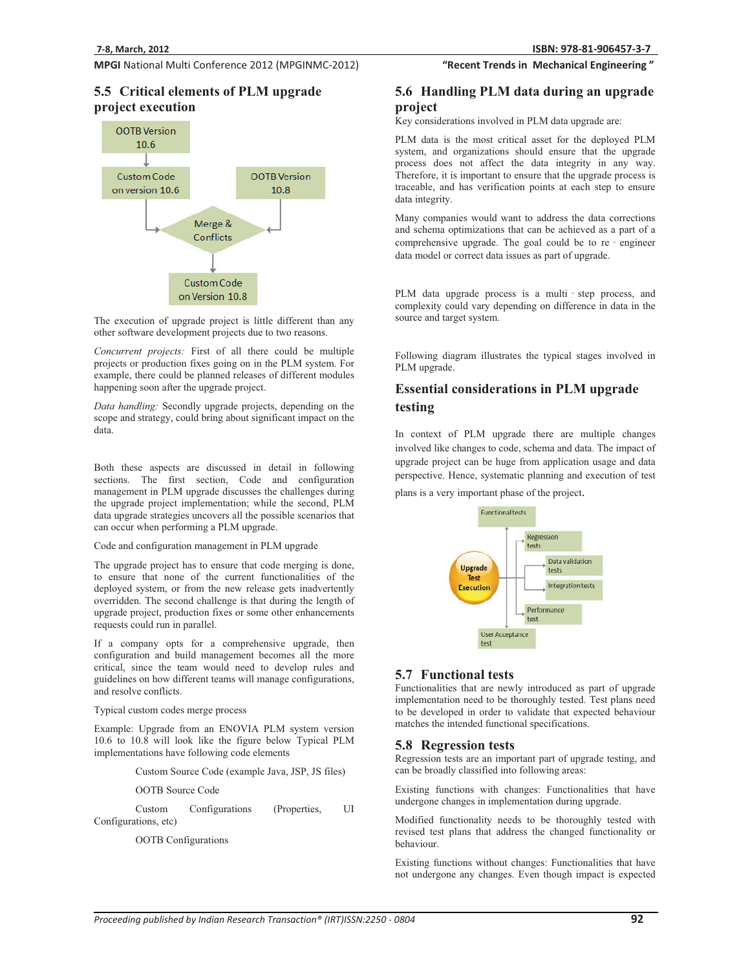## **5.5 Critical elements of PLM upgrade project execution**



The execution of upgrade project is little different than any other software development projects due to two reasons.

*Concurrent projects:* First of all there could be multiple projects or production fixes going on in the PLM system. For example, there could be planned releases of different modules happening soon after the upgrade project.

*Data handling:* Secondly upgrade projects, depending on the scope and strategy, could bring about significant impact on the data.

Both these aspects are discussed in detail in following sections. The first section, Code and configuration management in PLM upgrade discusses the challenges during the upgrade project implementation; while the second, PLM data upgrade strategies uncovers all the possible scenarios that can occur when performing a PLM upgrade.

Code and configuration management in PLM upgrade

The upgrade project has to ensure that code merging is done, to ensure that none of the current functionalities of the deployed system, or from the new release gets inadvertently overridden. The second challenge is that during the length of upgrade project, production fixes or some other enhancements requests could run in parallel.

If a company opts for a comprehensive upgrade, then configuration and build management becomes all the more critical, since the team would need to develop rules and guidelines on how different teams will manage configurations, and resolve conflicts.

Typical custom codes merge process

Example: Upgrade from an ENOVIA PLM system version 10.6 to 10.8 will look like the figure below Typical PLM implementations have following code elements

Custom Source Code (example Java, JSP, JS files)

OOTB Source Code

 Custom Configurations (Properties, UI Configurations, etc)

OOTB Configurations

#### **81-906457-3-7**

"Recent Trends in Mechanical Engineering"

## **5.6 Handling PLM data during an upgrade project**

Key considerations involved in PLM data upgrade are:

PLM data is the most critical asset for the deployed PLM system, and organizations should ensure that the upgrade process does not affect the data integrity in any way. Therefore, it is important to ensure that the upgrade process is traceable, and has verification points at each step to ensure data integrity.

Many companies would want to address the data corrections and schema optimizations that can be achieved as a part of a comprehensive upgrade. The goal could be to  $re$  - engineer data model or correct data issues as part of upgrade.

PLM data upgrade process is a multi - step process, and complexity could vary depending on difference in data in the source and target system.

Following diagram illustrates the typical stages involved in PLM upgrade.

## **Essential considerations in PLM upgrade testing**

In context of PLM upgrade there are multiple changes involved like changes to code, schema and data. The impact of upgrade project can be huge from application usage and data perspective. Hence, systematic planning and execution of test

plans is a very important phase of the project.



## **5.7 Functional tests**

Functionalities that are newly introduced as part of upgrade implementation need to be thoroughly tested. Test plans need to be developed in order to validate that expected behaviour matches the intended functional specifications.

### **5.8 Regression tests**

Regression tests are an important part of upgrade testing, and can be broadly classified into following areas:

Existing functions with changes: Functionalities that have undergone changes in implementation during upgrade.

Modified functionality needs to be thoroughly tested with revised test plans that address the changed functionality or behaviour.

Existing functions without changes: Functionalities that have not undergone any changes. Even though impact is expected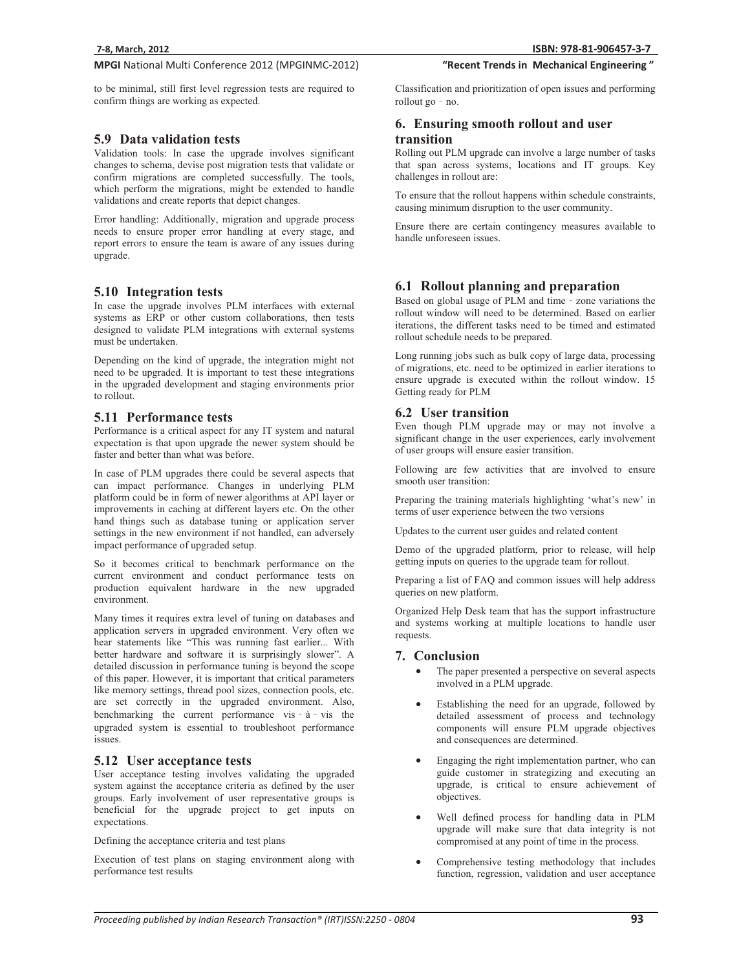to be minimal, still first level regression tests are required to confirm things are working as expected.

### **5.9 Data validation tests**

Validation tools: In case the upgrade involves significant changes to schema, devise post migration tests that validate or confirm migrations are completed successfully. The tools, which perform the migrations, might be extended to handle validations and create reports that depict changes.

Error handling: Additionally, migration and upgrade process needs to ensure proper error handling at every stage, and report errors to ensure the team is aware of any issues during upgrade.

#### **5.10 Integration tests**

In case the upgrade involves PLM interfaces with external systems as ERP or other custom collaborations, then tests designed to validate PLM integrations with external systems must be undertaken.

Depending on the kind of upgrade, the integration might not need to be upgraded. It is important to test these integrations in the upgraded development and staging environments prior to rollout.

## **5.11 Performance tests**

Performance is a critical aspect for any IT system and natural expectation is that upon upgrade the newer system should be faster and better than what was before.

In case of PLM upgrades there could be several aspects that can impact performance. Changes in underlying PLM platform could be in form of newer algorithms at API layer or improvements in caching at different layers etc. On the other hand things such as database tuning or application server settings in the new environment if not handled, can adversely impact performance of upgraded setup.

So it becomes critical to benchmark performance on the current environment and conduct performance tests on production equivalent hardware in the new upgraded environment.

Many times it requires extra level of tuning on databases and application servers in upgraded environment. Very often we hear statements like "This was running fast earlier... With better hardware and software it is surprisingly slower". A detailed discussion in performance tuning is beyond the scope of this paper. However, it is important that critical parameters like memory settings, thread pool sizes, connection pools, etc. are set correctly in the upgraded environment. Also, benchmarking the current performance vis $-\dot{a}$ <sup>-</sup>vis the upgraded system is essential to troubleshoot performance issues.

### **5.12 User acceptance tests**

User acceptance testing involves validating the upgraded system against the acceptance criteria as defined by the user groups. Early involvement of user representative groups is beneficial for the upgrade project to get inputs on expectations.

Defining the acceptance criteria and test plans

Execution of test plans on staging environment along with performance test results

Classification and prioritization of open issues and performing rollout go - no.

"Recent Trends in Mechanical Engineering"

## **6. Ensuring smooth rollout and user**

## **transition**

Rolling out PLM upgrade can involve a large number of tasks that span across systems, locations and IT groups. Key challenges in rollout are:

To ensure that the rollout happens within schedule constraints, causing minimum disruption to the user community.

Ensure there are certain contingency measures available to handle unforeseen issues.

## **6.1 Rollout planning and preparation**

Based on global usage of PLM and time  $\overline{\ }$  zone variations the rollout window will need to be determined. Based on earlier iterations, the different tasks need to be timed and estimated rollout schedule needs to be prepared.

Long running jobs such as bulk copy of large data, processing of migrations, etc. need to be optimized in earlier iterations to ensure upgrade is executed within the rollout window. 15 Getting ready for PLM

### **6.2 User transition**

Even though PLM upgrade may or may not involve a significant change in the user experiences, early involvement of user groups will ensure easier transition.

Following are few activities that are involved to ensure smooth user transition:

Preparing the training materials highlighting 'what's new' in terms of user experience between the two versions

Updates to the current user guides and related content

Demo of the upgraded platform, prior to release, will help getting inputs on queries to the upgrade team for rollout.

Preparing a list of FAQ and common issues will help address queries on new platform.

Organized Help Desk team that has the support infrastructure and systems working at multiple locations to handle user requests.

#### **7. Conclusion**

- - The paper presented a perspective on several aspects involved in a PLM upgrade.
- - Establishing the need for an upgrade, followed by detailed assessment of process and technology components will ensure PLM upgrade objectives and consequences are determined.
- $\bullet$  Engaging the right implementation partner, who can guide customer in strategizing and executing an upgrade, is critical to ensure achievement of objectives.
- - Well defined process for handling data in PLM upgrade will make sure that data integrity is not compromised at any point of time in the process.
- - Comprehensive testing methodology that includes function, regression, validation and user acceptance